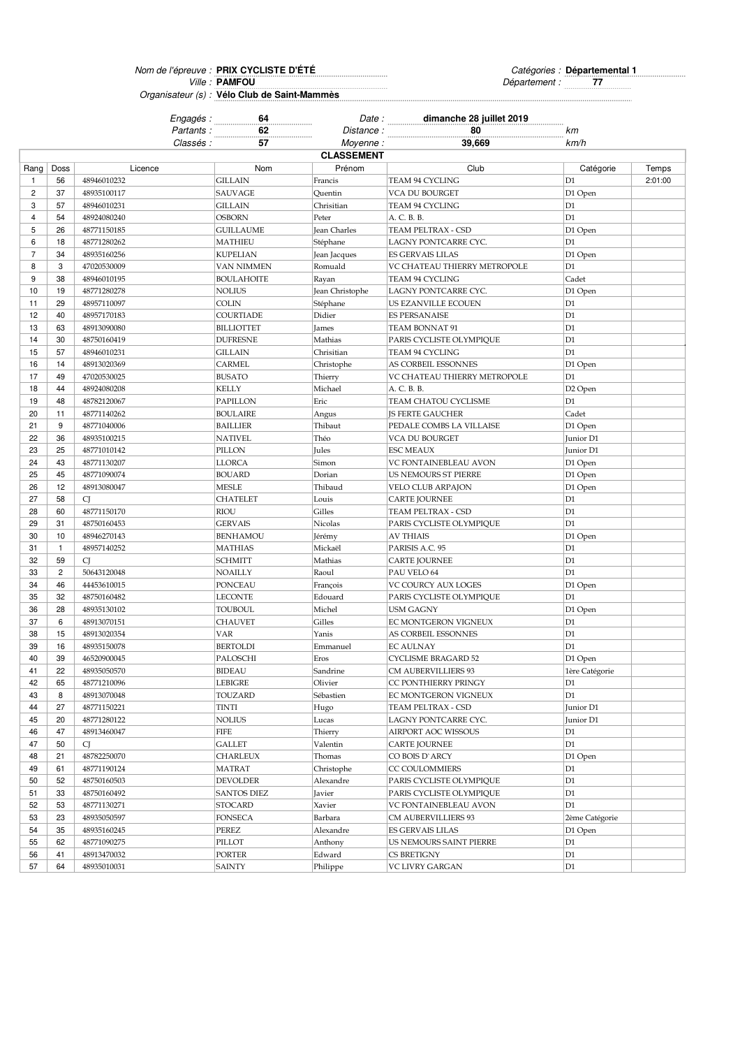Nom de l'épreuve : PRIX CYCLISTE D'ETE en entre la commune de la catégories : **PAMFOU**

**Vélo Club de Saint-Mammès**

Organisateur (s) :

Ville : Département : **77 PRIX CYCLISTE D'ÉTÉ Départemental 1**

|                |                |              | Engagés : | 64                 | Date :            | dimanche 28 juillet 2019     |                |         |
|----------------|----------------|--------------|-----------|--------------------|-------------------|------------------------------|----------------|---------|
|                |                |              | Partants: | 62                 | Distance :        | 80                           | kт             |         |
|                |                |              | Classés : | 57                 | Moyenne:          | 39,669                       | km/h           |         |
|                |                |              |           |                    | <b>CLASSEMENT</b> |                              |                |         |
| Rang           | Doss           | Licence      |           | Nom                | Prénom            | Club                         | Catégorie      | Temps   |
| $\mathbf{1}$   | 56             | 48946010232  |           | <b>GILLAIN</b>     | Francis           | TEAM 94 CYCLING              | D1             | 2:01:00 |
| $\overline{c}$ | 37             | 48935100117  |           | SAUVAGE            | Quentin           | VCA DU BOURGET               | D1 Open        |         |
| 3              | 57             | 48946010231  |           | <b>GILLAIN</b>     | Chrisitian        | TEAM 94 CYCLING              | D1             |         |
| 4              | 54             | 48924080240  |           | <b>OSBORN</b>      | Peter             | A. C. B. B.                  | D1             |         |
| 5              | 26             | 48771150185  |           | GUILLAUME          | Jean Charles      | TEAM PELTRAX - CSD           | D1 Open        |         |
| 6              | 18             | 48771280262  |           | <b>MATHIEU</b>     | Stéphane          | LAGNY PONTCARRE CYC.         | D1             |         |
| $\overline{7}$ | 34             | 48935160256  |           | KUPELIAN           | Jean Jacques      | <b>ES GERVAIS LILAS</b>      | D1 Open        |         |
| 8              | 3              | 47020530009  |           | VAN NIMMEN         | Romuald           | VC CHATEAU THIERRY METROPOLE | D1             |         |
| 9              | 38             | 48946010195  |           | <b>BOULAHOITE</b>  | Rayan             | TEAM 94 CYCLING              | Cadet          |         |
| 10             | 19             | 48771280278  |           | NOLIUS             | Jean Christophe   | LAGNY PONTCARRE CYC.         | D1 Open        |         |
| 11             | 29             | 48957110097  |           | COLIN              | Stéphane          | US EZANVILLE ECOUEN          | D1             |         |
| 12             | 40             | 48957170183  |           | COURTIADE          | Didier            | <b>ES PERSANAISE</b>         | D1             |         |
| 13             | 63             | 48913090080  |           | <b>BILLIOTTET</b>  | James             | TEAM BONNAT 91               | $\mathbf{D}1$  |         |
| 14             | 30             | 48750160419  |           | <b>DUFRESNE</b>    | Mathias           | PARIS CYCLISTE OLYMPIQUE     | D1             |         |
| 15             | 57             | 48946010231  |           | GILLAIN            | Chrisitian        | TEAM 94 CYCLING              | D1             |         |
| 16             | 14             | 48913020369  |           | CARMEL             | Christophe        | AS CORBEIL ESSONNES          | D1 Open        |         |
| 17             | 49             | 47020530025  |           | <b>BUSATO</b>      | Thierry           | VC CHATEAU THIERRY METROPOLE | D1             |         |
| 18             | 44             | 48924080208  |           | <b>KELLY</b>       | Michael           | A. C. B. B.                  | D2 Open        |         |
| 19             | 48             | 48782120067  |           | PAPILLON           | Eric              | TEAM CHATOU CYCLISME         | D1             |         |
| 20             | 11             | 48771140262  |           | <b>BOULAIRE</b>    | Angus             | <b>JS FERTE GAUCHER</b>      | Cadet          |         |
| 21             | 9              | 48771040006  |           | <b>BAILLIER</b>    | Thibaut           | PEDALE COMBS LA VILLAISE     | D1 Open        |         |
| 22             | 36             | 48935100215  |           | <b>NATIVEL</b>     | Théo              | <b>VCA DU BOURGET</b>        | Junior D1      |         |
| 23             | 25             | 48771010142  |           | PILLON             | Jules             | <b>ESC MEAUX</b>             | Junior D1      |         |
| 24             | 43             | 48771130207  |           | LLORCA             | Simon             | VC FONTAINEBLEAU AVON        | D1 Open        |         |
| 25             | 45             | 48771090074  |           | <b>BOUARD</b>      | Dorian            | US NEMOURS ST PIERRE         | D1 Open        |         |
| 26             | 12             | 48913080047  |           | MESLE              | Thibaud           | VELO CLUB ARPAJON            | D1 Open        |         |
| 27             | 58             | <sup>C</sup> |           | <b>CHATELET</b>    | Louis             | <b>CARTE JOURNEE</b>         | D1             |         |
| 28             | 60             | 48771150170  |           | <b>RIOU</b>        | Gilles            | TEAM PELTRAX - CSD           | D1             |         |
| 29             | 31             | 48750160453  |           | <b>GERVAIS</b>     | Nicolas           | PARIS CYCLISTE OLYMPIQUE     | D1             |         |
| 30             | 10             | 48946270143  |           | BENHAMOU           | Jérémy            | <b>AV THIAIS</b>             | D1 Open        |         |
| 31             | $\mathbf{1}$   | 48957140252  |           | <b>MATHIAS</b>     | Mickaël           | PARISIS A.C. 95              | D1             |         |
| 32             | 59             | <sup>C</sup> |           | <b>SCHMITT</b>     | Mathias           | <b>CARTE JOURNEE</b>         | D1             |         |
| 33             | $\overline{c}$ | 50643120048  |           | NOAILLY            | Raoul             | PAU VELO 64                  | D1             |         |
| 34             | 46             | 44453610015  |           | <b>PONCEAU</b>     | François          | VC COURCY AUX LOGES          | D1 Open        |         |
| 35             | 32             | 48750160482  |           | LECONTE            | Edouard           | PARIS CYCLISTE OLYMPIQUE     | D1             |         |
| 36             | 28             | 48935130102  |           | TOUBOUL            | Michel            | <b>USM GAGNY</b>             | D1 Open        |         |
| 37             | 6              | 48913070151  |           | <b>CHAUVET</b>     | Gilles            | EC MONTGERON VIGNEUX         | D1             |         |
| 38             | 15             | 48913020354  |           | VAR                | Yanis             | AS CORBEIL ESSONNES          | D1             |         |
| 39             | 16             | 48935150078  |           | <b>BERTOLDI</b>    | Emmanuel          | <b>EC AULNAY</b>             | D <sub>1</sub> |         |
| 40             | 39             | 46520900045  |           | PALOSCHI           | Eros              | <b>CYCLISME BRAGARD 52</b>   | D1 Open        |         |
| 41             | 22             | 48935050570  |           | <b>BIDEAU</b>      | Sandrine          | CM AUBERVILLIERS 93          | lère Catégorie |         |
| 42             | 65             | 48771210096  |           | LEBIGRE            | Olivier           | CC PONTHIERRY PRINGY         | D1             |         |
| 43             | 8              | 48913070048  |           | TOUZARD            | Sébastien         | EC MONTGERON VIGNEUX         | D1             |         |
| 44             | 27             | 48771150221  |           | TINTI              | Hugo              | TEAM PELTRAX - CSD           | Junior D1      |         |
| 45             | 20             | 48771280122  |           | <b>NOLIUS</b>      | Lucas             | LAGNY PONTCARRE CYC.         | Junior D1      |         |
| 46             | 47             | 48913460047  |           | <b>FIFE</b>        | Thierry           | AIRPORT AOC WISSOUS          | D1             |         |
| 47             | 50             | CJ           |           | <b>GALLET</b>      | Valentin          | <b>CARTE JOURNEE</b>         | D1             |         |
| 48             | 21             | 48782250070  |           | CHARLEUX           | Thomas            | CO BOIS D'ARCY               | D1 Open        |         |
| 49             | 61             | 48771190124  |           | MATRAT             | Christophe        | CC COULOMMIERS               | D1             |         |
| 50             | 52             | 48750160503  |           | <b>DEVOLDER</b>    | Alexandre         | PARIS CYCLISTE OLYMPIQUE     | D1             |         |
| 51             | 33             | 48750160492  |           | <b>SANTOS DIEZ</b> | Javier            | PARIS CYCLISTE OLYMPIQUE     | D1             |         |
| 52             | 53             | 48771130271  |           | <b>STOCARD</b>     | Xavier            | VC FONTAINEBLEAU AVON        | D1             |         |
| 53             | 23             | 48935050597  |           | FONSECA            | Barbara           | CM AUBERVILLIERS 93          | 2ème Catégorie |         |
| 54             | 35             | 48935160245  |           | PEREZ              | Alexandre         | ES GERVAIS LILAS             | D1 Open        |         |
| 55             | 62             | 48771090275  |           | PILLOT             | Anthony           | US NEMOURS SAINT PIERRE      | D1             |         |
| 56             | 41             | 48913470032  |           | <b>PORTER</b>      | Edward            | CS BRETIGNY                  | D1             |         |
| 57             | 64             | 48935010031  |           | <b>SAINTY</b>      | Philippe          | VC LIVRY GARGAN              | D1             |         |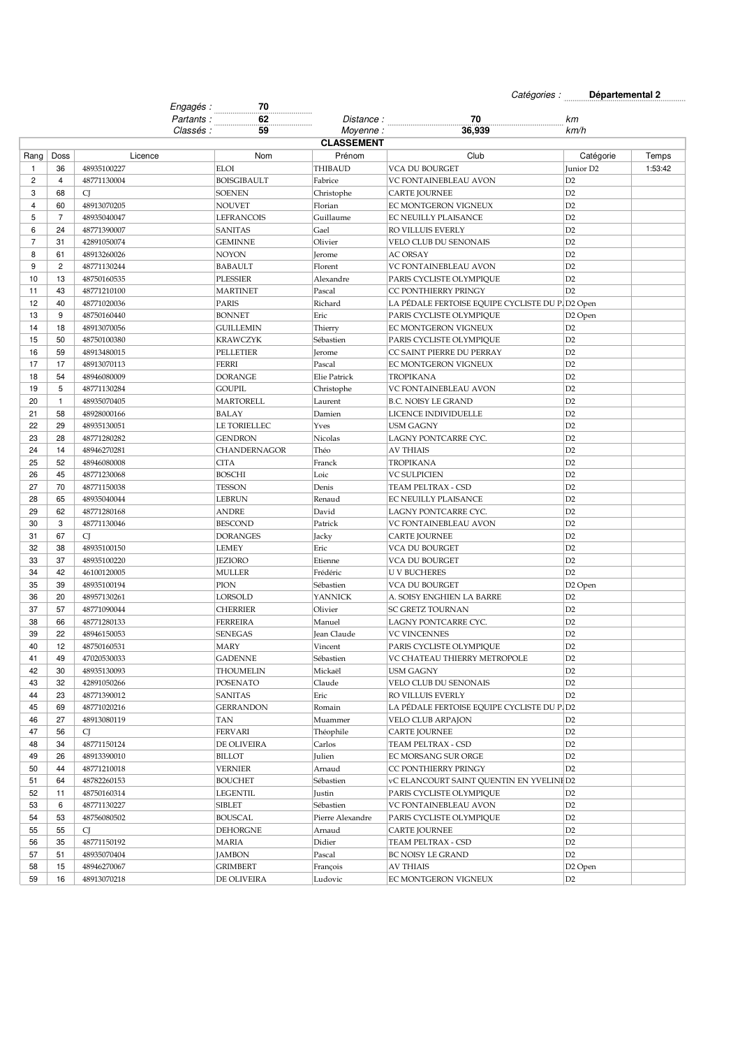$Cat\acute{e}gories:$  Départemental 2

|                |                | Engagés :                  | 70                            |                     | Categories :                                     | <b>Departemental 2</b> |         |
|----------------|----------------|----------------------------|-------------------------------|---------------------|--------------------------------------------------|------------------------|---------|
|                |                | Partants:                  | 62                            | <i>Distance :</i>   | 70                                               | km                     |         |
|                |                | Classés :                  | 59                            | Moyenne:            | 36,939                                           | km/h                   |         |
|                |                |                            |                               | <b>CLASSEMENT</b>   |                                                  |                        |         |
| Rang           | Doss           | Licence                    | Nom                           | Prénom              | Club                                             | Catégorie              | Temps   |
| $\mathbf{1}$   | 36             | 48935100227                | <b>ELOI</b>                   | <b>THIBAUD</b>      | <b>VCA DU BOURGET</b>                            | Junior D <sub>2</sub>  | 1:53:42 |
| 2              | $\overline{4}$ | 48771130004                | <b>BOISGIBAULT</b>            | Fabrice             | VC FONTAINEBLEAU AVON                            | D2                     |         |
| 3              | 68             | <b>CJ</b>                  | <b>SOENEN</b>                 | Christophe          | <b>CARTE JOURNEE</b>                             | D2                     |         |
| 4              | 60             | 48913070205                | <b>NOUVET</b>                 | Florian             | EC MONTGERON VIGNEUX                             | D2                     |         |
| 5              | $\overline{7}$ | 48935040047                | <b>LEFRANCOIS</b>             | Guillaume           | EC NEUILLY PLAISANCE                             | D2                     |         |
| 6              | 24             | 48771390007                | <b>SANITAS</b>                | Gael                | RO VILLUIS EVERLY                                | D2                     |         |
| $\overline{7}$ | 31             | 42891050074                | <b>GEMINNE</b>                | Olivier             | VELO CLUB DU SENONAIS                            | D2                     |         |
| 8              | 61             | 48913260026                | <b>NOYON</b>                  | Jerome              | <b>AC ORSAY</b>                                  | D2                     |         |
| 9              | $\overline{c}$ | 48771130244                | <b>BABAULT</b>                | Florent             | VC FONTAINEBLEAU AVON                            | D2                     |         |
| 10             | 13             | 48750160535                | <b>PLESSIER</b>               | Alexandre           | PARIS CYCLISTE OLYMPIQUE                         | D2                     |         |
| 11             | 43             | 48771210100                | <b>MARTINET</b>               | Pascal              | CC PONTHIERRY PRINGY                             | D2                     |         |
| 12             | 40             | 48771020036                | <b>PARIS</b>                  | Richard             | LA PÉDALE FERTOISE EQUIPE CYCLISTE DU P. D2 Open |                        |         |
| 13             | 9              | 48750160440                | <b>BONNET</b>                 | Eric                | PARIS CYCLISTE OLYMPIQUE                         | D <sub>2</sub> Open    |         |
| 14             | 18             | 48913070056                | <b>GUILLEMIN</b>              | Thierry             | EC MONTGERON VIGNEUX                             | D2                     |         |
| 15             | 50             | 48750100380                | <b>KRAWCZYK</b>               | Sébastien           | PARIS CYCLISTE OLYMPIQUE                         | D2                     |         |
| 16             | 59             | 48913480015                | PELLETIER                     | Jerome              | CC SAINT PIERRE DU PERRAY                        | D2                     |         |
| 17             | 17             | 48913070113                | <b>FERRI</b>                  | Pascal              | EC MONTGERON VIGNEUX                             | D2                     |         |
| 18             | 54             | 48946080009                | <b>DORANGE</b>                | <b>Elie Patrick</b> | TROPIKANA                                        | D2                     |         |
| 19             | 5              | 48771130284                | <b>GOUPIL</b>                 | Christophe          | VC FONTAINEBLEAU AVON                            | D2                     |         |
| 20             | $\mathbf{1}$   | 48935070405                | <b>MARTORELL</b>              | Laurent             | <b>B.C. NOISY LE GRAND</b>                       | D2                     |         |
| 21             | 58             | 48928000166                | <b>BALAY</b>                  | Damien              | LICENCE INDIVIDUELLE                             | D2                     |         |
| 22             | 29             | 48935130051                | LE TORIELLEC                  | Yves                | <b>USM GAGNY</b>                                 | D2                     |         |
| 23             | 28             | 48771280282                | <b>GENDRON</b>                | Nicolas             | LAGNY PONTCARRE CYC.                             | D2<br>D2               |         |
| 24             | 14             | 48946270281                | CHANDERNAGOR                  | Théo                | <b>AV THIAIS</b>                                 |                        |         |
| 25             | 52             | 48946080008                | <b>CITA</b>                   | Franck              | <b>TROPIKANA</b>                                 | D2                     |         |
| 26             | 45             | 48771230068                | <b>BOSCHI</b>                 | Loic                | <b>VC SULPICIEN</b>                              | D2<br>D2               |         |
| 27<br>28       | 70<br>65       | 48771150038                | <b>TESSON</b>                 | Denis<br>Renaud     | TEAM PELTRAX - CSD                               | D2                     |         |
| 29             | 62             | 48935040044                | <b>LEBRUN</b><br><b>ANDRE</b> | David               | EC NEUILLY PLAISANCE                             | D2                     |         |
| 30             | 3              | 48771280168<br>48771130046 | <b>BESCOND</b>                | Patrick             | LAGNY PONTCARRE CYC.<br>VC FONTAINEBLEAU AVON    | D2                     |         |
| 31             | 67             | CJ                         | <b>DORANGES</b>               | Jacky               | <b>CARTE JOURNEE</b>                             | D2                     |         |
| 32             | 38             | 48935100150                | <b>LEMEY</b>                  | Eric                | VCA DU BOURGET                                   | D2                     |         |
| 33             | 37             | 48935100220                | <b>JEZIORO</b>                | Etienne             | VCA DU BOURGET                                   | D2                     |         |
| 34             | 42             | 46100120005                | <b>MULLER</b>                 | Frédéric            | U V BUCHERES                                     | D2                     |         |
| 35             | 39             | 48935100194                | PION                          | Sébastien           | <b>VCA DU BOURGET</b>                            | D2 Open                |         |
| 36             | 20             | 48957130261                | <b>LORSOLD</b>                | <b>YANNICK</b>      | A. SOISY ENGHIEN LA BARRE                        | D2                     |         |
| 37             | 57             | 48771090044                | <b>CHERRIER</b>               | Olivier             | <b>SC GRETZ TOURNAN</b>                          | D2                     |         |
| 38             | 66             | 48771280133                | <b>FERREIRA</b>               | Manuel              | LAGNY PONTCARRE CYC.                             | D2                     |         |
| 39             | 22             | 48946150053                | <b>SENEGAS</b>                | Jean Claude         | <b>VC VINCENNES</b>                              | D2                     |         |
| 40             | 12             | 48750160531                | <b>MARY</b>                   | Vincent             | PARIS CYCLISTE OLYMPIQUE                         | D2                     |         |
| 41             | 49             | 47020530033                | <b>GADENNE</b>                | Sébastien           | VC CHATEAU THIERRY METROPOLE                     | D2                     |         |
| 42             | 30             | 48935130093                | <b>THOUMELIN</b>              | Mickaël             | <b>USM GAGNY</b>                                 | D2                     |         |
| 43             | 32             | 42891050266                | <b>POSENATO</b>               | Claude              | VELO CLUB DU SENONAIS                            | D <sub>2</sub>         |         |
| 44             | 23             | 48771390012                | <b>SANITAS</b>                | Eric                | RO VILLUIS EVERLY                                | D2                     |         |
| 45             | 69             | 48771020216                | <b>GERRANDON</b>              | Romain              | LA PÉDALE FERTOISE EQUIPE CYCLISTE DU P. D2      |                        |         |
| 46             | 27             | 48913080119                | <b>TAN</b>                    | Muammer             | <b>VELO CLUB ARPAJON</b>                         | D2                     |         |
| 47             | 56             | <sup>C</sup>               | <b>FERVARI</b>                | Théophile           | <b>CARTE JOURNEE</b>                             | D2                     |         |
| 48             | 34             | 48771150124                | DE OLIVEIRA                   | Carlos              | TEAM PELTRAX - CSD                               | D <sub>2</sub>         |         |
| 49             | 26             | 48913390010                | <b>BILLOT</b>                 | Julien              | EC MORSANG SUR ORGE                              | D2                     |         |
| 50             | 44             | 48771210018                | <b>VERNIER</b>                | Arnaud              | CC PONTHIERRY PRINGY                             | D2                     |         |
| 51             | 64             | 48782260153                | <b>BOUCHET</b>                | Sébastien           | vC ELANCOURT SAINT QUENTIN EN YVELINED2          |                        |         |
| 52             | 11             | 48750160314                | <b>LEGENTIL</b>               | Justin              | PARIS CYCLISTE OLYMPIQUE                         | D <sub>2</sub>         |         |
| 53             | 6              | 48771130227                | <b>SIBLET</b>                 | Sébastien           | VC FONTAINEBLEAU AVON                            | D2                     |         |
| 54             | 53             | 48756080502                | <b>BOUSCAL</b>                | Pierre Alexandre    | PARIS CYCLISTE OLYMPIQUE                         | D2                     |         |
| 55             | 55             | <b>CJ</b>                  | <b>DEHORGNE</b>               | Arnaud              | <b>CARTE JOURNEE</b>                             | D2                     |         |
| 56             | 35             | 48771150192                | <b>MARIA</b>                  | Didier              | TEAM PELTRAX - CSD                               | D2                     |         |
| 57             | 51             | 48935070404                | <b>JAMBON</b>                 | Pascal              | BC NOISY LE GRAND                                | D <sub>2</sub>         |         |
| 58             | 15             | 48946270067                | <b>GRIMBERT</b>               | François            | AV THIAIS                                        | D2 Open                |         |
| 59             | 16             | 48913070218                | DE OLIVEIRA                   | Ludovic             | EC MONTGERON VIGNEUX                             | D <sub>2</sub>         |         |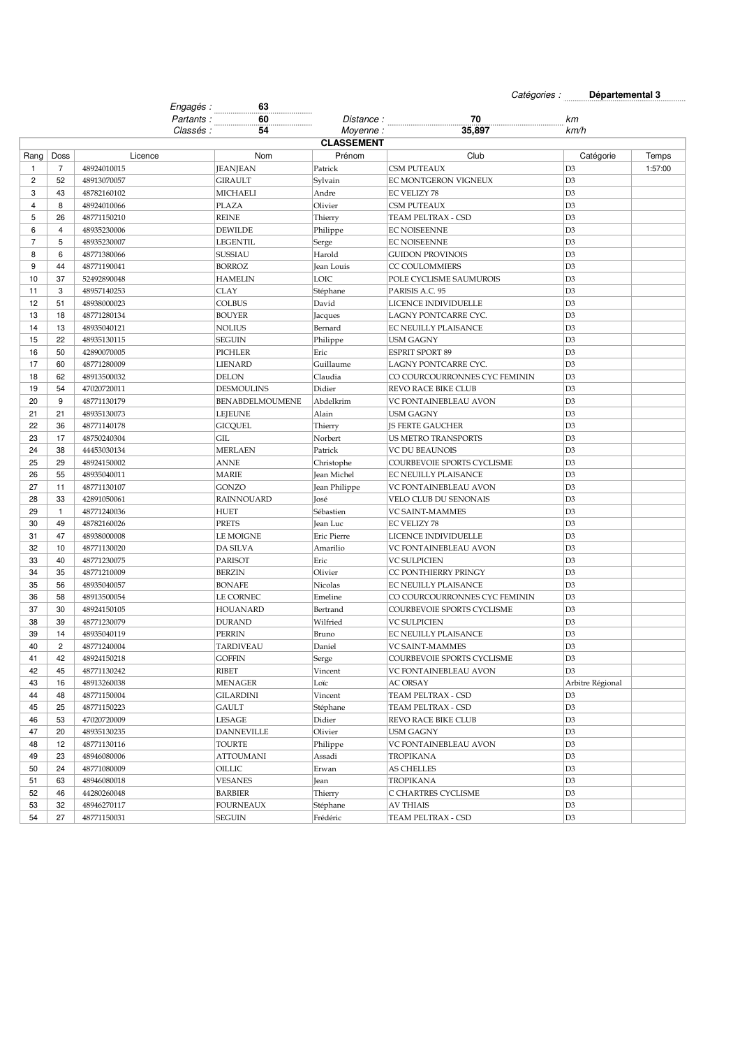Catégories : **Départemental 3**

| Calegories.<br>Departemental 3<br>Engagés :<br>63 |                |             |           |                   |               |                               |                  |         |
|---------------------------------------------------|----------------|-------------|-----------|-------------------|---------------|-------------------------------|------------------|---------|
|                                                   |                |             | Partants: | 60                | Distance:     | 70                            | kт               |         |
|                                                   |                |             | Classés : | 54                | Moyenne:      | 35,897                        | km/h             |         |
| <b>CLASSEMENT</b>                                 |                |             |           |                   |               |                               |                  |         |
| Rang                                              | Doss           | Licence     |           | Nom               | Prénom        | Club                          | Catégorie        | Temps   |
| 1                                                 | $\overline{7}$ | 48924010015 |           | <b>JEANJEAN</b>   | Patrick       | <b>CSM PUTEAUX</b>            | D <sub>3</sub>   | 1:57:00 |
| 2                                                 | 52             | 48913070057 |           | <b>GIRAULT</b>    | Sylvain       | EC MONTGERON VIGNEUX          | D <sub>3</sub>   |         |
| 3                                                 | 43             | 48782160102 |           | <b>MICHAELI</b>   | Andre         | EC VELIZY 78                  | D <sub>3</sub>   |         |
| 4                                                 | 8              | 48924010066 |           | PLAZA             | Olivier       | <b>CSM PUTEAUX</b>            | D <sub>3</sub>   |         |
| 5                                                 | 26             | 48771150210 |           | <b>REINE</b>      | Thierry       | TEAM PELTRAX - CSD            | D <sub>3</sub>   |         |
| 6                                                 | $\overline{4}$ | 48935230006 |           | <b>DEWILDE</b>    | Philippe      | EC NOISEENNE                  | D <sub>3</sub>   |         |
| $\overline{7}$                                    | 5              | 48935230007 |           | <b>LEGENTIL</b>   | Serge         | <b>EC NOISEENNE</b>           | D <sub>3</sub>   |         |
| 8                                                 | 6              | 48771380066 |           | <b>SUSSIAU</b>    | Harold        | <b>GUIDON PROVINOIS</b>       | D <sub>3</sub>   |         |
| 9                                                 | 44             | 48771190041 |           | <b>BORROZ</b>     | Jean Louis    | CC COULOMMIERS                | D <sub>3</sub>   |         |
| 10                                                | 37             | 52492890048 |           | <b>HAMELIN</b>    | LOIC          | POLE CYCLISME SAUMUROIS       | D <sub>3</sub>   |         |
| 11                                                | 3              | 48957140253 |           | CLAY              | Stéphane      | PARISIS A.C. 95               | D <sub>3</sub>   |         |
| 12                                                | 51             | 48938000023 |           | <b>COLBUS</b>     | David         | LICENCE INDIVIDUELLE          | D <sub>3</sub>   |         |
| 13                                                | 18             | 48771280134 |           | <b>BOUYER</b>     | Jacques       | LAGNY PONTCARRE CYC.          | D <sub>3</sub>   |         |
| 14                                                | 13             | 48935040121 |           | <b>NOLIUS</b>     | Bernard       | EC NEUILLY PLAISANCE          | D <sub>3</sub>   |         |
| 15                                                | 22             | 48935130115 |           | <b>SEGUIN</b>     | Philippe      | <b>USM GAGNY</b>              | D <sub>3</sub>   |         |
| 16                                                | 50             | 42890070005 |           | <b>PICHLER</b>    | Eric          | <b>ESPRIT SPORT 89</b>        | D <sub>3</sub>   |         |
| 17                                                | 60             | 48771280009 |           | LIENARD           | Guillaume     | LAGNY PONTCARRE CYC.          | D <sub>3</sub>   |         |
| 18                                                | 62             | 48913500032 |           | <b>DELON</b>      | Claudia       | CO COURCOURRONNES CYC FEMININ | D <sub>3</sub>   |         |
| 19                                                | 54             | 47020720011 |           | <b>DESMOULINS</b> | Didier        | REVO RACE BIKE CLUB           | D <sub>3</sub>   |         |
| 20                                                | 9              | 48771130179 |           | BENABDELMOUMENE   | Abdelkrim     | VC FONTAINEBLEAU AVON         | D <sub>3</sub>   |         |
| 21                                                | 21             | 48935130073 |           | <b>LEJEUNE</b>    | Alain         | <b>USM GAGNY</b>              | D <sub>3</sub>   |         |
| 22                                                | 36             | 48771140178 |           | <b>GICQUEL</b>    | Thierry       | <b>IS FERTE GAUCHER</b>       | D <sub>3</sub>   |         |
| 23                                                | 17             | 48750240304 |           | GIL               | Norbert       | <b>US METRO TRANSPORTS</b>    | D <sub>3</sub>   |         |
| 24                                                | 38             | 44453030134 |           | <b>MERLAEN</b>    | Patrick       | <b>VC DU BEAUNOIS</b>         | D <sub>3</sub>   |         |
| 25                                                | 29             | 48924150002 |           | <b>ANNE</b>       | Christophe    | COURBEVOIE SPORTS CYCLISME    | D <sub>3</sub>   |         |
| 26                                                | 55             | 48935040011 |           | <b>MARIE</b>      | Jean Michel   | EC NEUILLY PLAISANCE          | D <sub>3</sub>   |         |
| 27                                                | 11             | 48771130107 |           | <b>GONZO</b>      | Jean Philippe | VC FONTAINEBLEAU AVON         | D <sub>3</sub>   |         |
| 28                                                | 33             | 42891050061 |           | <b>RAINNOUARD</b> | José          | VELO CLUB DU SENONAIS         | D <sub>3</sub>   |         |
| 29                                                | $\mathbf{1}$   | 48771240036 |           | <b>HUET</b>       | Sébastien     | VC SAINT-MAMMES               | D <sub>3</sub>   |         |
| 30                                                | 49             | 48782160026 |           | <b>PRETS</b>      | Jean Luc      | EC VELIZY 78                  | D <sub>3</sub>   |         |
| 31                                                | 47             | 48938000008 |           | <b>LE MOIGNE</b>  | Eric Pierre   | LICENCE INDIVIDUELLE          | D <sub>3</sub>   |         |
| 32                                                | 10             | 48771130020 |           | <b>DA SILVA</b>   | Amarilio      | VC FONTAINEBLEAU AVON         | D <sub>3</sub>   |         |
| 33                                                | 40             | 48771230075 |           | <b>PARISOT</b>    | Eric          | <b>VC SULPICIEN</b>           | D <sub>3</sub>   |         |
| 34                                                | 35             | 48771210009 |           | <b>BERZIN</b>     | Olivier       | CC PONTHIERRY PRINGY          | D <sub>3</sub>   |         |
| 35                                                | 56             | 48935040057 |           | <b>BONAFE</b>     | Nicolas       | EC NEUILLY PLAISANCE          | D <sub>3</sub>   |         |
| 36                                                | 58             | 48913500054 |           | LE CORNEC         | Emeline       | CO COURCOURRONNES CYC FEMININ | D <sub>3</sub>   |         |
| 37                                                | 30             | 48924150105 |           | <b>HOUANARD</b>   | Bertrand      | COURBEVOIE SPORTS CYCLISME    | D <sub>3</sub>   |         |
| 38                                                | 39             | 48771230079 |           | <b>DURAND</b>     | Wilfried      | <b>VC SULPICIEN</b>           | D <sub>3</sub>   |         |
| 39                                                | 14             | 48935040119 |           | <b>PERRIN</b>     | Bruno         | EC NEUILLY PLAISANCE          | D <sub>3</sub>   |         |
| 40                                                | $\overline{2}$ | 48771240004 |           | TARDIVEAU         | Daniel        | <b>VC SAINT-MAMMES</b>        | D <sub>3</sub>   |         |
| 41                                                | 42             | 48924150218 |           | <b>GOFFIN</b>     | Serge         | COURBEVOIE SPORTS CYCLISME    | D <sub>3</sub>   |         |
| 42                                                | 45             | 48771130242 |           | RIBET             | Vincent       | VC FONTAINEBLEAU AVON         | D <sub>3</sub>   |         |
| 43                                                | 16             | 48913260038 |           | <b>MENAGER</b>    | Loïc          | <b>AC ORSAY</b>               | Arbitre Régional |         |
| 44                                                | 48             | 48771150004 |           | <b>GILARDINI</b>  | Vincent       | TEAM PELTRAX - CSD            | D <sub>3</sub>   |         |
| 45                                                | 25             | 48771150223 |           | GAULT             | Stéphane      | TEAM PELTRAX - CSD            | D <sub>3</sub>   |         |
| 46                                                | 53             | 47020720009 |           | LESAGE            | Didier        | REVO RACE BIKE CLUB           | D <sub>3</sub>   |         |
| 47                                                | 20             | 48935130235 |           | <b>DANNEVILLE</b> | Olivier       | <b>USM GAGNY</b>              | D <sub>3</sub>   |         |
| 48                                                | 12             | 48771130116 |           | TOURTE            | Philippe      | VC FONTAINEBLEAU AVON         | D <sub>3</sub>   |         |
| 49                                                | 23             | 48946080006 |           | <b>ATTOUMANI</b>  | Assadi        | TROPIKANA                     | D <sub>3</sub>   |         |
| 50                                                | 24             | 48771080009 |           | OILLIC            | Erwan         | AS CHELLES                    | D <sub>3</sub>   |         |
| 51                                                | 63             | 48946080018 |           | <b>VESANES</b>    | Jean          | TROPIKANA                     | D <sub>3</sub>   |         |
| 52                                                | 46             | 44280260048 |           | <b>BARBIER</b>    | Thierry       | C CHARTRES CYCLISME           | D <sub>3</sub>   |         |
| 53                                                | 32             | 48946270117 |           | <b>FOURNEAUX</b>  | Stéphane      | AV THIAIS                     | D <sub>3</sub>   |         |
| 54                                                | 27             | 48771150031 |           | <b>SEGUIN</b>     | Frédéric      | TEAM PELTRAX - CSD            | D <sub>3</sub>   |         |
|                                                   |                |             |           |                   |               |                               |                  |         |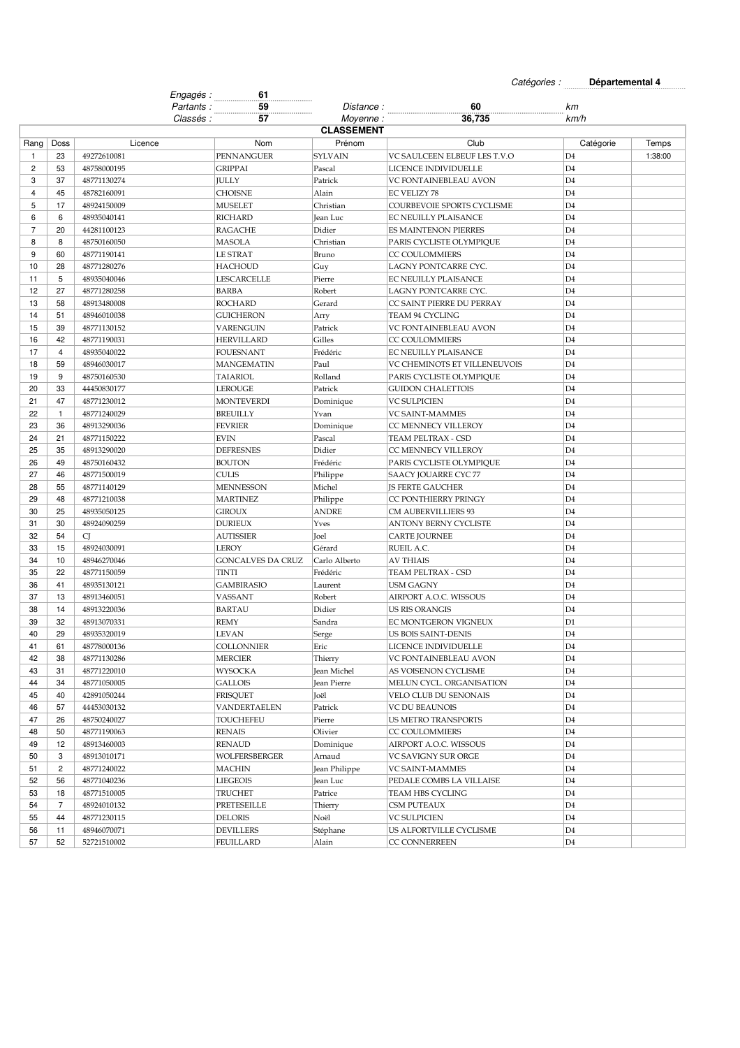Catégories : **Départemental 4**

|                | Categories :<br><b>Departemental 4</b> |             |                        |                    |                   |                              |                |         |
|----------------|----------------------------------------|-------------|------------------------|--------------------|-------------------|------------------------------|----------------|---------|
|                |                                        |             | Engagés :<br>Partants: | 61<br>59           | <i>Distance :</i> | 60                           | kт             |         |
|                |                                        |             | Classés :              | 57                 | Moyenne :         | 36,735                       | km/h           |         |
|                |                                        |             |                        |                    | <b>CLASSEMENT</b> |                              |                |         |
| Rang           | Doss                                   | Licence     |                        | Nom                | Prénom            | Club                         | Catégorie      | Temps   |
| 1              | 23                                     | 49272610081 |                        | PENNANGUER         | <b>SYLVAIN</b>    | VC SAULCEEN ELBEUF LES T.V.O | D <sub>4</sub> | 1:38:00 |
| 2              | 53                                     | 48758000195 |                        | <b>GRIPPAI</b>     | Pascal            | LICENCE INDIVIDUELLE         | D4             |         |
| 3              | 37                                     | 48771130274 |                        | <b>JULLY</b>       | Patrick           | VC FONTAINEBLEAU AVON        | D4             |         |
| 4              | 45                                     | 48782160091 |                        | <b>CHOISNE</b>     | Alain             | <b>EC VELIZY 78</b>          | D4             |         |
| 5              | 17                                     | 48924150009 |                        | <b>MUSELET</b>     | Christian         | COURBEVOIE SPORTS CYCLISME   | D4             |         |
| 6              | 6                                      | 48935040141 |                        | <b>RICHARD</b>     | Jean Luc          | EC NEUILLY PLAISANCE         | D4             |         |
| $\overline{7}$ | 20                                     | 44281100123 |                        | <b>RAGACHE</b>     | Didier            | <b>ES MAINTENON PIERRES</b>  | D4             |         |
| 8              | 8                                      | 48750160050 |                        | <b>MASOLA</b>      | Christian         | PARIS CYCLISTE OLYMPIQUE     | D4             |         |
| 9              | 60                                     | 48771190141 |                        | <b>LE STRAT</b>    | Bruno             | CC COULOMMIERS               | D4             |         |
| 10             | 28                                     | 48771280276 |                        | <b>HACHOUD</b>     | Guy               | LAGNY PONTCARRE CYC.         | D <sub>4</sub> |         |
| 11             | 5                                      | 48935040046 |                        | <b>LESCARCELLE</b> | Pierre            | EC NEUILLY PLAISANCE         | D4             |         |
| 12             | 27                                     | 48771280258 |                        | BARBA              | Robert            | LAGNY PONTCARRE CYC.         | D4             |         |
| 13             | 58                                     | 48913480008 |                        | <b>ROCHARD</b>     | Gerard            | CC SAINT PIERRE DU PERRAY    | D4             |         |
| 14             | 51                                     | 48946010038 |                        | <b>GUICHERON</b>   | Arry              | TEAM 94 CYCLING              | D4             |         |
| 15             | 39                                     | 48771130152 |                        | VARENGUIN          | Patrick           | VC FONTAINEBLEAU AVON        | D4             |         |
| 16             | 42                                     | 48771190031 |                        | <b>HERVILLARD</b>  | Gilles            | CC COULOMMIERS               | D4             |         |
| 17             | $\overline{4}$                         | 48935040022 |                        | <b>FOUESNANT</b>   | Frédéric          | EC NEUILLY PLAISANCE         | D4             |         |
| 18             | 59                                     | 48946030017 |                        | <b>MANGEMATIN</b>  | Paul              | VC CHEMINOTS ET VILLENEUVOIS | D4             |         |
| 19             | 9                                      | 48750160530 |                        | <b>TAIARIOL</b>    | Rolland           | PARIS CYCLISTE OLYMPIQUE     | D4             |         |
| 20             | 33                                     | 44450830177 |                        | LEROUGE            | Patrick           | <b>GUIDON CHALETTOIS</b>     | D4             |         |
| 21             | 47                                     | 48771230012 |                        | <b>MONTEVERDI</b>  | Dominique         | <b>VC SULPICIEN</b>          | D4             |         |
| 22             | $\mathbf{1}$                           | 48771240029 |                        | <b>BREUILLY</b>    | Yvan              | <b>VC SAINT-MAMMES</b>       | D4             |         |
| 23             | 36                                     | 48913290036 |                        | <b>FEVRIER</b>     | Dominique         | CC MENNECY VILLEROY          | D4             |         |
| 24             | 21                                     | 48771150222 |                        | <b>EVIN</b>        | Pascal            | TEAM PELTRAX - CSD           | D4             |         |
| 25             | 35                                     | 48913290020 |                        | <b>DEFRESNES</b>   | Didier            | CC MENNECY VILLEROY          | D4             |         |
| 26             | 49                                     | 48750160432 |                        | <b>BOUTON</b>      | Frédéric          | PARIS CYCLISTE OLYMPIQUE     | D4             |         |
| 27             | 46                                     | 48771500019 |                        | <b>CULIS</b>       | Philippe          | SAACY JOUARRE CYC 77         | D <sub>4</sub> |         |
| 28             | 55                                     | 48771140129 |                        | <b>MENNESSON</b>   | Michel            | <b>JS FERTE GAUCHER</b>      | D4             |         |
| 29             | 48                                     | 48771210038 |                        | <b>MARTINEZ</b>    | Philippe          | CC PONTHIERRY PRINGY         | D <sub>4</sub> |         |
| 30             | 25                                     | 48935050125 |                        | <b>GIROUX</b>      | <b>ANDRE</b>      | CM AUBERVILLIERS 93          | D4             |         |
| 31             | 30                                     | 48924090259 |                        | <b>DURIEUX</b>     | Yves              | ANTONY BERNY CYCLISTE        | D4             |         |
| 32             | 54                                     | CJ          |                        | <b>AUTISSIER</b>   | Joel              | <b>CARTE JOURNEE</b>         | D4             |         |
| 33             | 15                                     | 48924030091 |                        | <b>LEROY</b>       | Gérard            | RUEIL A.C.                   | D4             |         |
| 34             | 10                                     | 48946270046 |                        | GONCALVES DA CRUZ  | Carlo Alberto     | AV THIAIS                    | D4             |         |
| 35             | 22                                     | 48771150059 |                        | <b>TINTI</b>       | Frédéric          | TEAM PELTRAX - CSD           | D4             |         |
| 36             | 41                                     | 48935130121 |                        | <b>GAMBIRASIO</b>  | Laurent           | <b>USM GAGNY</b>             | D4             |         |
| 37             | 13                                     | 48913460051 |                        | VASSANT            | Robert            | AIRPORT A.O.C. WISSOUS       | D4             |         |
| 38             | 14                                     | 48913220036 |                        | <b>BARTAU</b>      | Didier            | <b>US RIS ORANGIS</b>        | D4             |         |
| 39             | 32                                     | 48913070331 |                        | <b>REMY</b>        | Sandra            | EC MONTGERON VIGNEUX         | D1             |         |
| 40             | 29                                     | 48935320019 |                        | <b>LEVAN</b>       | Serge             | <b>US BOIS SAINT-DENIS</b>   | D <sub>4</sub> |         |
| 41             | 61                                     | 48778000136 |                        | <b>COLLONNIER</b>  | Eric              | LICENCE INDIVIDUELLE         | D4             |         |
| 42             | 38                                     | 48771130286 |                        | <b>MERCIER</b>     | Thierry           | VC FONTAINEBLEAU AVON        | D4             |         |
| 43             | 31                                     | 48771220010 |                        | WYSOCKA            | Jean Michel       | AS VOISENON CYCLISME         | D4             |         |
| 44             | 34                                     | 48771050005 |                        | <b>GALLOIS</b>     | Jean Pierre       | MELUN CYCL. ORGANISATION     | D4             |         |
| 45             | 40                                     | 42891050244 |                        | <b>FRISQUET</b>    | Joël              | VELO CLUB DU SENONAIS        | D4             |         |
| 46             | 57                                     | 44453030132 |                        | VANDERTAELEN       | Patrick           | VC DU BEAUNOIS               | D4             |         |
| 47             | 26                                     | 48750240027 |                        | TOUCHEFEU          | Pierre            | <b>US METRO TRANSPORTS</b>   | D4             |         |
| 48             | 50                                     | 48771190063 |                        | <b>RENAIS</b>      | Olivier           | CC COULOMMIERS               | D4             |         |
| 49             | 12                                     | 48913460003 |                        | <b>RENAUD</b>      | Dominique         | AIRPORT A.O.C. WISSOUS       | D4             |         |
| 50             | 3                                      | 48913010171 |                        | WOLFERSBERGER      | Arnaud            | VC SAVIGNY SUR ORGE          | D4             |         |
| 51             | $\overline{2}$                         | 48771240022 |                        | <b>MACHIN</b>      | Jean Philippe     | VC SAINT-MAMMES              | D4             |         |
| 52             | 56                                     | 48771040236 |                        | <b>LIEGEOIS</b>    | Jean Luc          | PEDALE COMBS LA VILLAISE     | D4             |         |
| 53             | 18                                     | 48771510005 |                        | TRUCHET            | Patrice           | TEAM HBS CYCLING             | D4             |         |
| 54             | $\overline{7}$                         | 48924010132 |                        | PRETESEILLE        | Thierry           | CSM PUTEAUX                  | D4             |         |
| 55             | 44                                     | 48771230115 |                        | <b>DELORIS</b>     | Noël              | <b>VC SULPICIEN</b>          | D4             |         |
| 56             | 11                                     | 48946070071 |                        | <b>DEVILLERS</b>   | Stéphane          | US ALFORTVILLE CYCLISME      | D4             |         |
| 57             | 52                                     | 52721510002 |                        | <b>FEUILLARD</b>   | Alain             | CC CONNERREEN                | D4             |         |